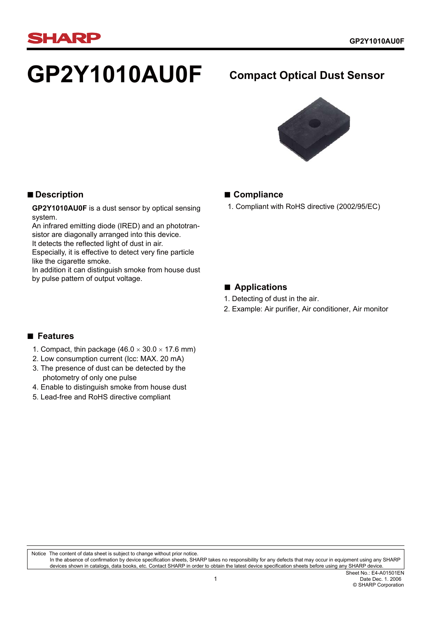# **HARP**

# **GP2Y1010AU0F Compact Optical Dust Sensor**



# **■ Compliance**

1. Compliant with RoHS directive (2002/95/EC)

# **■ Applications**

- 1. Detecting of dust in the air.
- 2. Example: Air purifier, Air conditioner, Air monitor

# **■ Description**

**GP2Y1010AU0F** is a dust sensor by optical sensing system.

An infrared emitting diode (IRED) and an phototransistor are diagonally arranged into this device. It detects the reflected light of dust in air.

Especially, it is effective to detect very fine particle like the cigarette smoke.

In addition it can distinguish smoke from house dust by pulse pattern of output voltage.

# **■ Features**

- 1. Compact, thin package  $(46.0 \times 30.0 \times 17.6 \text{ mm})$
- 2. Low consumption current (Icc: MAX. 20 mA)
- 3. The presence of dust can be detected by the photometry of only one pulse
- 4. Enable to distinguish smoke from house dust
- 5. Lead-free and RoHS directive compliant

Notice The content of data sheet is subject to change without prior notice. In the absence of confirmation by device specification sheets, SHARP takes no responsibility for any defects that may occur in equipment using any SHARP devices shown in catalogs, data books, etc. Contact SHARP in order to obtain the latest device specification sheets before using any SHARP device.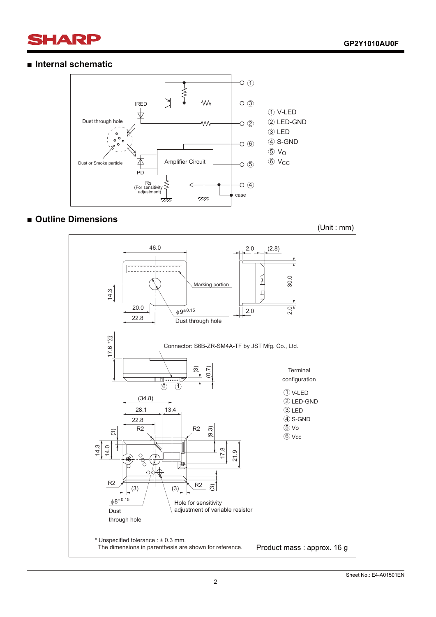# **SHARP**

## **■ Internal schematic**



# **■ Outline Dimensions**

(Unit : mm)

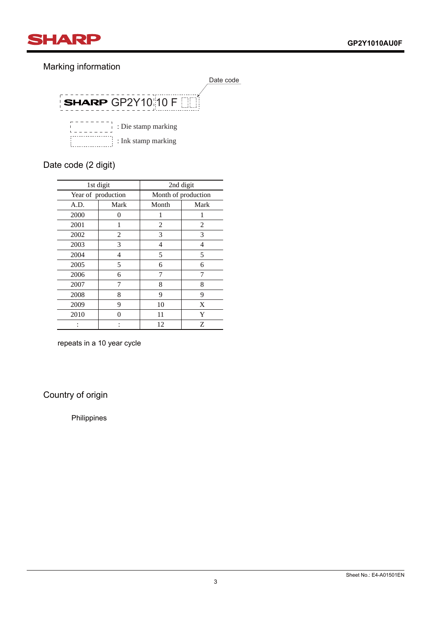

# Marking information



# Date code (2 digit)

| 1st digit          |      | 2nd digit           |                |  |
|--------------------|------|---------------------|----------------|--|
| Year of production |      | Month of production |                |  |
| A.D.               | Mark | Month               | Mark           |  |
| 2000               | 0    | 1                   |                |  |
| 2001               | 1    | $\overline{c}$      | $\overline{c}$ |  |
| 2002               | 2    | 3                   | 3              |  |
| 2003               | 3    | 4                   | 4              |  |
| 2004               | 4    | 5                   | 5              |  |
| 2005               | 5    | 6                   | 6              |  |
| 2006               | 6    | 7                   | 7              |  |
| 2007               |      | 8                   | 8              |  |
| 2008               | 8    | 9                   | 9              |  |
| 2009               | 9    | 10                  | X              |  |
| 2010               | O    | 11                  | Y              |  |
|                    |      | 12                  | Ζ              |  |

repeats in a 10 year cycle

Country of origin

Philippines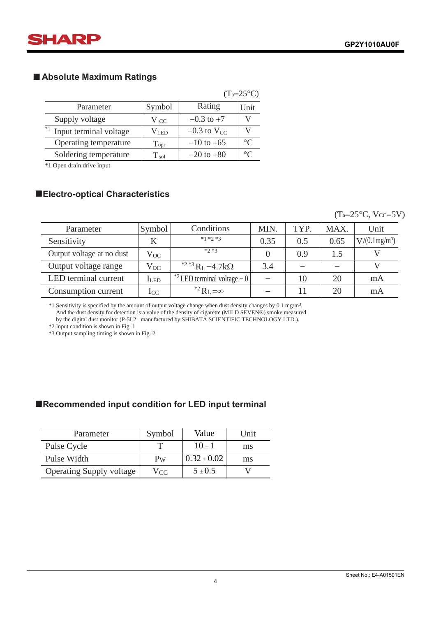

# ■ Absolute Maximum Ratings

|                                |               |                    | $(T_a=25^{\circ}C)$ |
|--------------------------------|---------------|--------------------|---------------------|
| Parameter                      | Symbol        | Rating             | Unit                |
| Supply voltage                 | V cc          | $-0.3$ to $+7$     |                     |
| $*1$<br>Input terminal voltage | $\rm V_{LED}$ | $-0.3$ to $V_{CC}$ |                     |
| Operating temperature          | Topr          | $-10$ to $+65$     | $\circ$ C           |
| Soldering temperature          | $T_{\rm sol}$ | $-20$ to $+80$     | $\circ$             |

\*1 Open drain drive input

# ■  **Electro-optical Characteristics**

### $(T_a=25\text{°C}, V_{CC}=5V)$

| Parameter                 | Symbol       | Conditions                                     | MIN. | TYP. | MAX. | Unit            |
|---------------------------|--------------|------------------------------------------------|------|------|------|-----------------|
| Sensitivity               |              | $*1 *2 *3$                                     | 0.35 | 0.5  | 0.65 | $V/(0.1mg/m^3)$ |
| Output voltage at no dust | $V_{OC}$     | $*2*3$                                         |      | 0.9  | 1.5  |                 |
| Output voltage range      | $V_{OH}$     | <sup>*2 *3</sup> R <sub>L</sub> =4.7k $\Omega$ | 3.4  |      |      |                 |
| LED terminal current      | <b>I</b> LED | <sup>*2</sup> LED terminal voltage = $01$      |      | 10   | 20   | mA              |
| Consumption current       | $_{\rm{LC}}$ | <sup>*2</sup> $R_I = \infty$                   |      | 11   | 20   | mA              |

\*1 Sensitivity is specified by the amount of output voltage change when dust density changes by 0.1 mg/m3. And the dust density for detection is a value of the density of cigarette (MILD SEVEN®) smoke measured by the digital dust monitor (P-5L2: manufactured by SHIBATA SCIENTIFIC TECHNOLOGY LTD.).

\*2 Input condition is shown in Fig. 1

\*3 Output sampling timing is shown in Fig. 2

# ■**Recommended input condition for LED input terminal**

| Parameter                       | Symbol   | Value           | <b>Unit</b> |
|---------------------------------|----------|-----------------|-------------|
| Pulse Cycle                     |          | $10+1$          | ms          |
| Pulse Width                     | $P_{W}$  | $0.32 \pm 0.02$ | ms          |
| <b>Operating Supply voltage</b> | $V_{CC}$ | $5 \pm 0.5$     |             |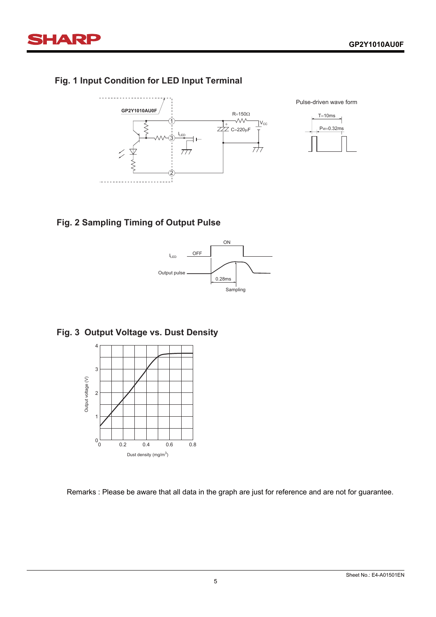

# **HARP**

# **Fig. 1 Input Condition for LED Input Terminal**





# **Fig. 2 Sampling Timing of Output Pulse**



# **Fig. 3 Output Voltage vs. Dust Density**



Remarks : Please be aware that all data in the graph are just for reference and are not for guarantee.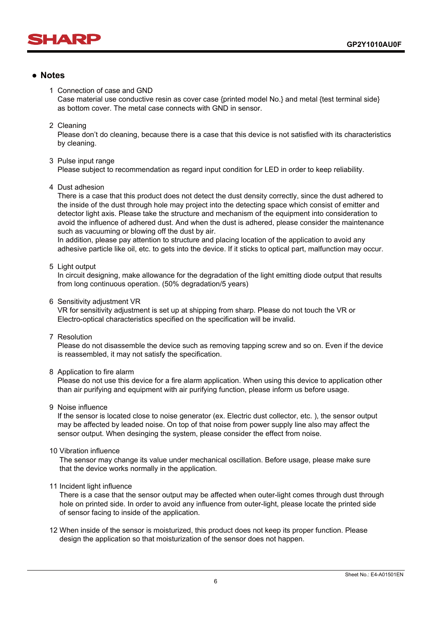

# **● Notes**

#### 1 Connection of case and GND

 Case material use conductive resin as cover case {printed model No.} and metal {test terminal side} as bottom cover. The metal case connects with GND in sensor.

#### 2 Cleaning

 Please don't do cleaning, because there is a case that this device is not satisfied with its characteristics by cleaning.

#### 3 Pulse input range

Please subject to recommendation as regard input condition for LED in order to keep reliability.

4 Dust adhesion

 There is a case that this product does not detect the dust density correctly, since the dust adhered to the inside of the dust through hole may project into the detecting space which consist of emitter and detector light axis. Please take the structure and mechanism of the equipment into consideration to avoid the influence of adhered dust. And when the dust is adhered, please consider the maintenance such as vacuuming or blowing off the dust by air.

 In addition, please pay attention to structure and placing location of the application to avoid any adhesive particle like oil, etc. to gets into the device. If it sticks to optical part, malfunction may occur.

#### 5 Light output

 In circuit designing, make allowance for the degradation of the light emitting diode output that results from long continuous operation. (50% degradation/5 years)

6 Sensitivity adjustment VR

 VR for sensitivity adjustment is set up at shipping from sharp. Please do not touch the VR or Electro-optical characteristics specified on the specification will be invalid.

7 Resolution

 Please do not disassemble the device such as removing tapping screw and so on. Even if the device is reassembled, it may not satisfy the specification.

#### 8 Application to fire alarm

 Please do not use this device for a fire alarm application. When using this device to application other than air purifying and equipment with air purifying function, please inform us before usage.

#### 9 Noise influence

 If the sensor is located close to noise generator (ex. Electric dust collector, etc. ), the sensor output may be affected by leaded noise. On top of that noise from power supply line also may affect the sensor output. When desinging the system, please consider the effect from noise.

#### 10 Vibration influence

 The sensor may change its value under mechanical oscillation. Before usage, please make sure that the device works normally in the application.

#### 11 Incident light influence

 There is a case that the sensor output may be affected when outer-light comes through dust through hole on printed side. In order to avoid any influence from outer-light, please locate the printed side of sensor facing to inside of the application.

12 When inside of the sensor is moisturized, this product does not keep its proper function. Please design the application so that moisturization of the sensor does not happen.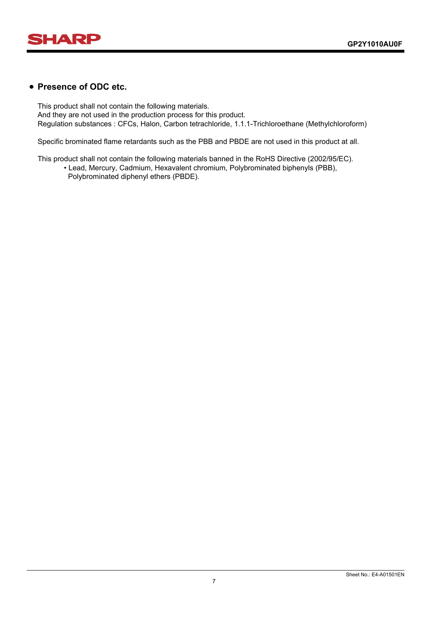

# **● Presence of ODC etc.**

This product shall not contain the following materials. And they are not used in the production process for this product. Regulation substances : CFCs, Halon, Carbon tetrachloride, 1.1.1-Trichloroethane (Methylchloroform)

Specific brominated flame retardants such as the PBB and PBDE are not used in this product at all.

This product shall not contain the following materials banned in the RoHS Directive (2002/95/EC).

 • Lead, Mercury, Cadmium, Hexavalent chromium, Polybrominated biphenyls (PBB), Polybrominated diphenyl ethers (PBDE).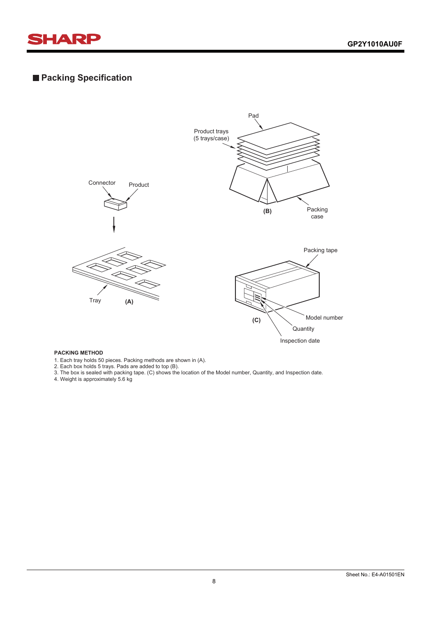

# **Packing Specification**



1. Each tray holds 50 pieces. Packing methods are shown in (A).

2. Each box holds 5 trays. Pads are added to top (B).

3. The box is sealed with packing tape. (C) shows the location of the Model number, Quantity, and Inspection date.

4. Weight is approximately 5.6 kg